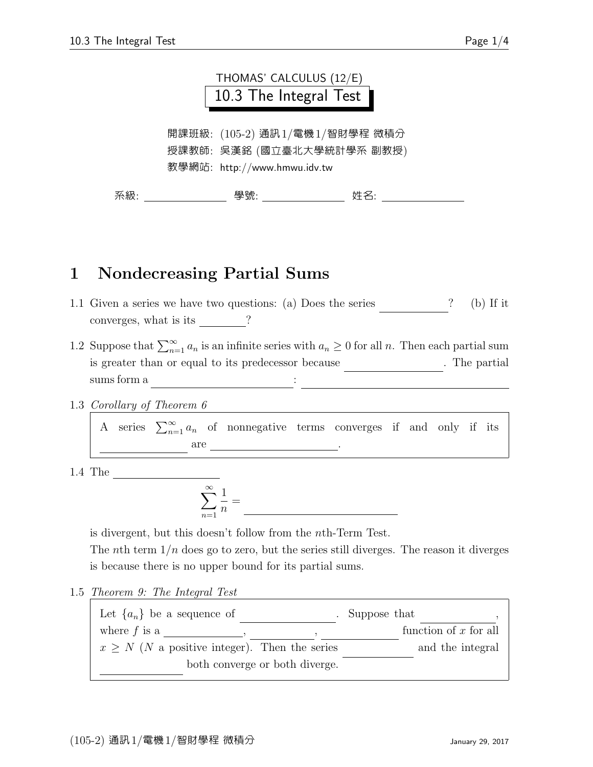|                                                                                             |  | THOMAS' CALCULUS (12/E)<br>10.3 The Integral Test |  |     |  |
|---------------------------------------------------------------------------------------------|--|---------------------------------------------------|--|-----|--|
| 開課班級: (105-2) 通訊1/電機1/智財學程 微積分<br>授課教師:吳漢銘 (國立臺北大學統計學系 副教授)<br>教學網站: http://www.hmwu.idv.tw |  |                                                   |  |     |  |
| 系級:                                                                                         |  | 學號:                                               |  | 姓名: |  |

## 1 Nondecreasing Partial Sums

- 1.1 Given a series we have two questions: (a) Does the series ? (b) If it converges, what is its  $\frac{ }{ }$  ?
- 1.2 Suppose that  $\sum_{n=1}^{\infty} a_n$  is an infinite series with  $a_n \geq 0$  for all n. Then each partial sum is greater than or equal to its predecessor because  $\hspace{1cm}$  . The partial  $sums form a \nightharpoonup$

1.3 Corollary of Theorem 6

A series  $\sum_{n=1}^{\infty} a_n$  of nonnegative terms converges if and only if its are <u>L</u>

1.4 The Harmonic Series

$$
\sum_{n=1}^{\infty} \frac{1}{n} =
$$

is divergent, but this doesn't follow from the nth-Term Test.

The nth term  $1/n$  does go to zero, but the series still diverges. The reason it diverges is because there is no upper bound for its partial sums.

1.5 Theorem 9: The Integral Test

| Let $\{a_n\}$ be a sequence of                     | Suppose that            |
|----------------------------------------------------|-------------------------|
| where $f$ is a                                     | function of $x$ for all |
| $x \geq N$ (N a positive integer). Then the series | and the integral        |
| both converge or both diverge.                     |                         |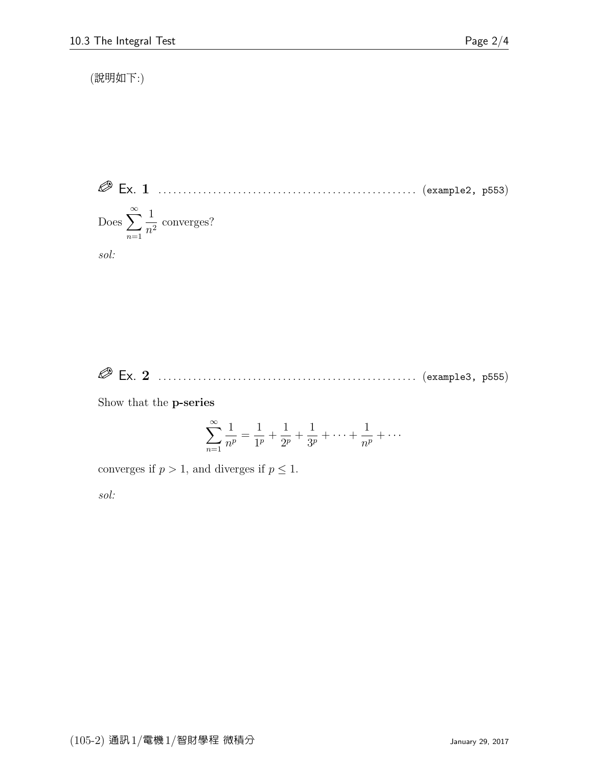(說明如下:)

 Ex. 1 . . . . . . . . . . . . . . . . . . . . . . . . . . . . . . . . . . . . . . . . . . . . . . . . . . . . (example2, p553) Does  $\sum_{n=1}^{\infty}$  $n=1$ 1  $\frac{1}{n^2}$  converges?

sol:

Ex. 2 . . . . . . . . . . . . . . . . . . . . . . . . . . . . . . . . . . . . . . . . . . . . . . . . . . . . (example3, p555)

Show that the p-series

$$
\sum_{n=1}^{\infty} \frac{1}{n^p} = \frac{1}{1^p} + \frac{1}{2^p} + \frac{1}{3^p} + \dots + \frac{1}{n^p} + \dots
$$

converges if  $p > 1$ , and diverges if  $p \leq 1$ . sol: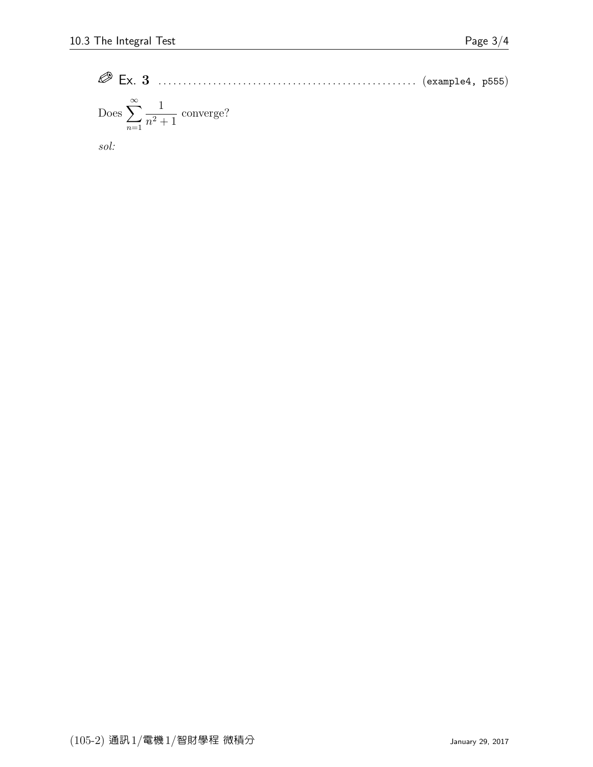Ex. 3 . . . . . . . . . . . . . . . . . . . . . . . . . . . . . . . . . . . . . . . . . . . . . . . . . . . . (example4, p555) Does <sup>X</sup><sup>∞</sup> n=1 1 n<sup>2</sup> + 1 converge?

sol: